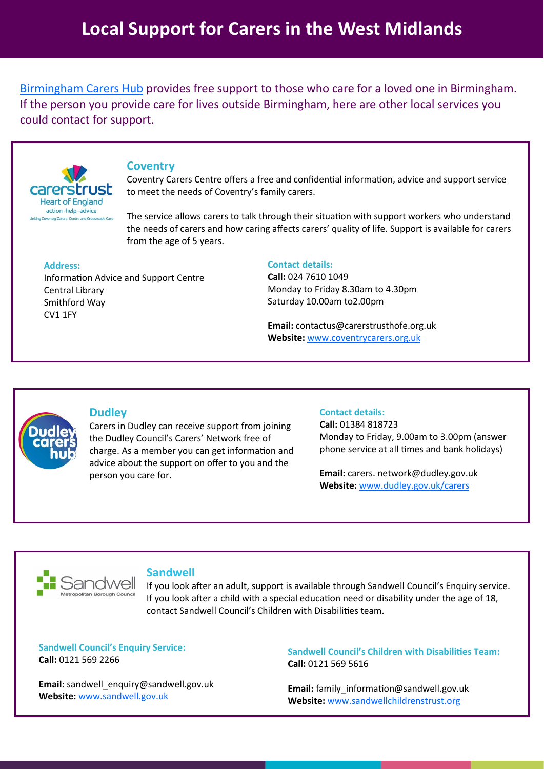[Birmingham Carers Hub](https://forwardcarers.org.uk/local-services/birmingham) provides free support to those who care for a loved one in Birmingham. If the person you provide care for lives outside Birmingham, here are other local services you could contact for support.



# **Coventry**

Coventry Carers Centre offers a free and confidential information, advice and support service to meet the needs of Coventry's family carers.

The service allows carers to talk through their situation with support workers who understand the needs of carers and how caring affects carers' quality of life. Support is available for carers from the age of 5 years.

### **Address:**

Information Advice and Support Centre Central Library Smithford Way CV1 1FY

## **Contact details:**

**Call:** 024 7610 1049 Monday to Friday 8.30am to 4.30pm Saturday 10.00am to2.00pm

**Email:** contactus@carerstrusthofe.org.uk **Website:** [www.coventrycarers.org.uk](https://www.coventrycarers.org.uk/adult-services/)



# **Dudley**

Carers in Dudley can receive support from joining the Dudley Council's Carers' Network free of charge. As a member you can get information and advice about the support on offer to you and the person you care for.

### **Contact details:**

**Call:** 01384 818723 Monday to Friday, 9.00am to 3.00pm (answer phone service at all times and bank holidays)

**Email:** carers. network@dudley.gov.uk **Website:** [www.dudley.gov.uk/carers](https://www.dudley.gov.uk/carers)



# **Sandwell**

If you look after an adult, support is available through Sandwell Council's Enquiry service. If you look after a child with a special education need or disability under the age of 18, contact Sandwell Council's Children with Disabilities team.

**Sandwell Council's Enquiry Service: Call:** 0121 569 2266

**Email:** sandwell\_enquiry@sandwell.gov.uk **Website:** [www.sandwell.gov.uk](https://www.sandwell.gov.uk/info/200218/carers)

**Sandwell Council's Children with Disabilities Team: Call:** 0121 569 5616

**Email:** family\_information@sandwell.gov.uk **Website:** [www.sandwellchildrenstrust.org](https://www.sandwellchildrenstrust.org/childrens-social-care)